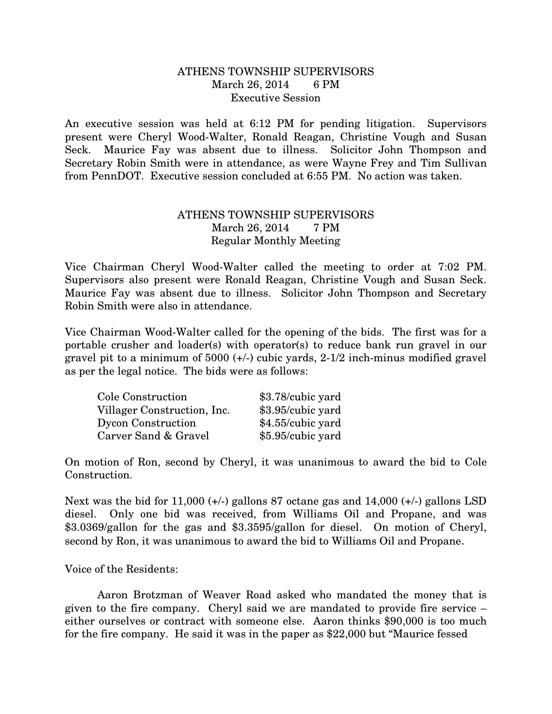## ATHENS TOWNSHIP SUPERVISORS March 26, 2014 6 PM Executive Session

An executive session was held at 6:12 PM for pending litigation. Supervisors present were Cheryl Wood-Walter, Ronald Reagan, Christine Vough and Susan Seck. Maurice Fay was absent due to illness. Solicitor John Thompson and Secretary Robin Smith were in attendance, as were Wayne Frey and Tim Sullivan from PennDOT. Executive session concluded at 6:55 PM. No action was taken.

## ATHENS TOWNSHIP SUPERVISORS March 26, 2014 7 PM Regular Monthly Meeting

Vice Chairman Cheryl Wood-Walter called the meeting to order at 7:02 PM. Supervisors also present were Ronald Reagan, Christine Vough and Susan Seck. Maurice Fay was absent due to illness. Solicitor John Thompson and Secretary Robin Smith were also in attendance.

Vice Chairman Wood-Walter called for the opening of the bids. The first was for a portable crusher and loader(s) with operator(s) to reduce bank run gravel in our gravel pit to a minimum of 5000 (+/-) cubic yards, 2-1/2 inch-minus modified gravel as per the legal notice. The bids were as follows:

| Cole Construction           | \$3.78/cubic yard |
|-----------------------------|-------------------|
| Villager Construction, Inc. | \$3.95/cubic yard |
| Dycon Construction          | \$4.55/cubic yard |
| Carver Sand & Gravel        | \$5.95/cubic yard |

On motion of Ron, second by Cheryl, it was unanimous to award the bid to Cole Construction.

Next was the bid for 11,000  $(+/-)$  gallons 87 octane gas and 14,000  $(+/-)$  gallons LSD diesel. Only one bid was received, from Williams Oil and Propane, and was \$3.0369/gallon for the gas and \$3.3595/gallon for diesel. On motion of Cheryl, second by Ron, it was unanimous to award the bid to Williams Oil and Propane.

Voice of the Residents:

 Aaron Brotzman of Weaver Road asked who mandated the money that is given to the fire company. Cheryl said we are mandated to provide fire service – either ourselves or contract with someone else. Aaron thinks \$90,000 is too much for the fire company. He said it was in the paper as \$22,000 but "Maurice fessed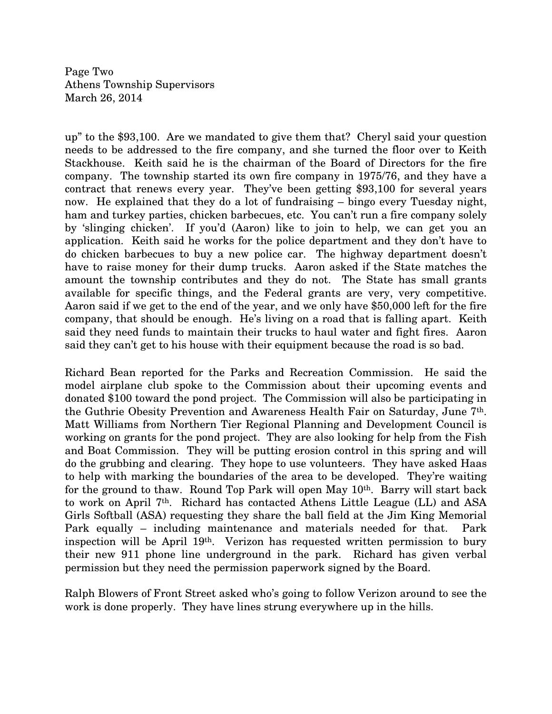Page Two Athens Township Supervisors March 26, 2014

up" to the \$93,100. Are we mandated to give them that? Cheryl said your question needs to be addressed to the fire company, and she turned the floor over to Keith Stackhouse. Keith said he is the chairman of the Board of Directors for the fire company. The township started its own fire company in 1975/76, and they have a contract that renews every year. They've been getting \$93,100 for several years now. He explained that they do a lot of fundraising – bingo every Tuesday night, ham and turkey parties, chicken barbecues, etc. You can't run a fire company solely by 'slinging chicken'. If you'd (Aaron) like to join to help, we can get you an application. Keith said he works for the police department and they don't have to do chicken barbecues to buy a new police car. The highway department doesn't have to raise money for their dump trucks. Aaron asked if the State matches the amount the township contributes and they do not. The State has small grants available for specific things, and the Federal grants are very, very competitive. Aaron said if we get to the end of the year, and we only have \$50,000 left for the fire company, that should be enough. He's living on a road that is falling apart. Keith said they need funds to maintain their trucks to haul water and fight fires. Aaron said they can't get to his house with their equipment because the road is so bad.

Richard Bean reported for the Parks and Recreation Commission. He said the model airplane club spoke to the Commission about their upcoming events and donated \$100 toward the pond project. The Commission will also be participating in the Guthrie Obesity Prevention and Awareness Health Fair on Saturday, June 7th. Matt Williams from Northern Tier Regional Planning and Development Council is working on grants for the pond project. They are also looking for help from the Fish and Boat Commission. They will be putting erosion control in this spring and will do the grubbing and clearing. They hope to use volunteers. They have asked Haas to help with marking the boundaries of the area to be developed. They're waiting for the ground to thaw. Round Top Park will open May  $10<sup>th</sup>$ . Barry will start back to work on April  $7<sup>th</sup>$ . Richard has contacted Athens Little League (LL) and ASA Girls Softball (ASA) requesting they share the ball field at the Jim King Memorial Park equally – including maintenance and materials needed for that. Park inspection will be April 19th. Verizon has requested written permission to bury their new 911 phone line underground in the park. Richard has given verbal permission but they need the permission paperwork signed by the Board.

Ralph Blowers of Front Street asked who's going to follow Verizon around to see the work is done properly. They have lines strung everywhere up in the hills.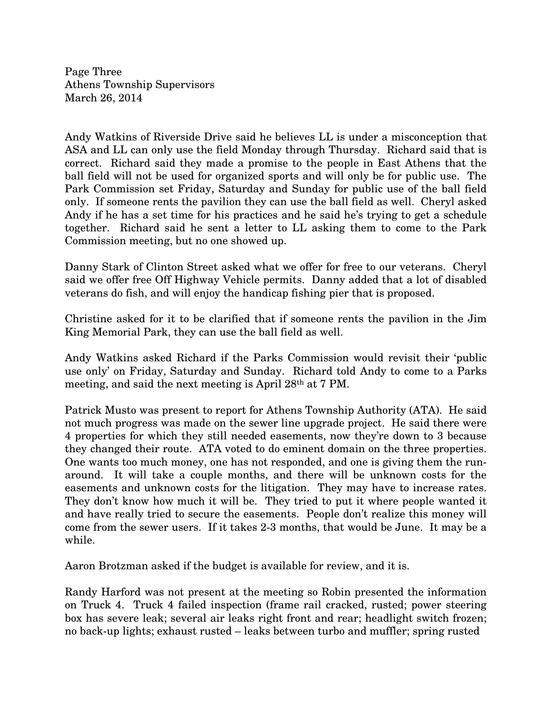Page Three Athens Township Supervisors March 26, 2014

Andy Watkins of Riverside Drive said he believes LL is under a misconception that ASA and LL can only use the field Monday through Thursday. Richard said that is correct. Richard said they made a promise to the people in East Athens that the ball field will not be used for organized sports and will only be for public use. The Park Commission set Friday, Saturday and Sunday for public use of the ball field only. If someone rents the pavilion they can use the ball field as well. Cheryl asked Andy if he has a set time for his practices and he said he's trying to get a schedule together. Richard said he sent a letter to LL asking them to come to the Park Commission meeting, but no one showed up.

Danny Stark of Clinton Street asked what we offer for free to our veterans. Cheryl said we offer free Off Highway Vehicle permits. Danny added that a lot of disabled veterans do fish, and will enjoy the handicap fishing pier that is proposed.

Christine asked for it to be clarified that if someone rents the pavilion in the Jim King Memorial Park, they can use the ball field as well.

Andy Watkins asked Richard if the Parks Commission would revisit their 'public use only' on Friday, Saturday and Sunday. Richard told Andy to come to a Parks meeting, and said the next meeting is April 28th at 7 PM.

Patrick Musto was present to report for Athens Township Authority (ATA). He said not much progress was made on the sewer line upgrade project. He said there were 4 properties for which they still needed easements, now they're down to 3 because they changed their route. ATA voted to do eminent domain on the three properties. One wants too much money, one has not responded, and one is giving them the runaround. It will take a couple months, and there will be unknown costs for the easements and unknown costs for the litigation. They may have to increase rates. They don't know how much it will be. They tried to put it where people wanted it and have really tried to secure the easements. People don't realize this money will come from the sewer users. If it takes 2-3 months, that would be June. It may be a while.

Aaron Brotzman asked if the budget is available for review, and it is.

Randy Harford was not present at the meeting so Robin presented the information on Truck 4. Truck 4 failed inspection (frame rail cracked, rusted; power steering box has severe leak; several air leaks right front and rear; headlight switch frozen; no back-up lights; exhaust rusted – leaks between turbo and muffler; spring rusted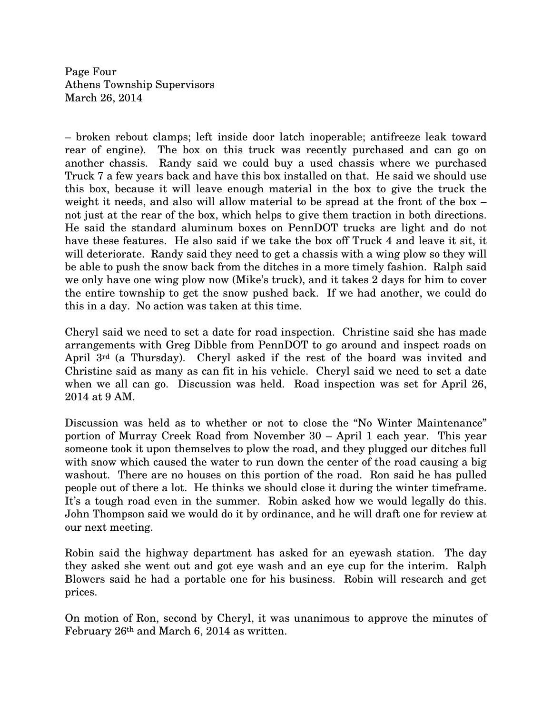Page Four Athens Township Supervisors March 26, 2014

– broken rebout clamps; left inside door latch inoperable; antifreeze leak toward rear of engine). The box on this truck was recently purchased and can go on another chassis. Randy said we could buy a used chassis where we purchased Truck 7 a few years back and have this box installed on that. He said we should use this box, because it will leave enough material in the box to give the truck the weight it needs, and also will allow material to be spread at the front of the box – not just at the rear of the box, which helps to give them traction in both directions. He said the standard aluminum boxes on PennDOT trucks are light and do not have these features. He also said if we take the box off Truck 4 and leave it sit, it will deteriorate. Randy said they need to get a chassis with a wing plow so they will be able to push the snow back from the ditches in a more timely fashion. Ralph said we only have one wing plow now (Mike's truck), and it takes 2 days for him to cover the entire township to get the snow pushed back. If we had another, we could do this in a day. No action was taken at this time.

Cheryl said we need to set a date for road inspection. Christine said she has made arrangements with Greg Dibble from PennDOT to go around and inspect roads on April 3rd (a Thursday). Cheryl asked if the rest of the board was invited and Christine said as many as can fit in his vehicle. Cheryl said we need to set a date when we all can go. Discussion was held. Road inspection was set for April 26, 2014 at 9 AM.

Discussion was held as to whether or not to close the "No Winter Maintenance" portion of Murray Creek Road from November 30 – April 1 each year. This year someone took it upon themselves to plow the road, and they plugged our ditches full with snow which caused the water to run down the center of the road causing a big washout. There are no houses on this portion of the road. Ron said he has pulled people out of there a lot. He thinks we should close it during the winter timeframe. It's a tough road even in the summer. Robin asked how we would legally do this. John Thompson said we would do it by ordinance, and he will draft one for review at our next meeting.

Robin said the highway department has asked for an eyewash station. The day they asked she went out and got eye wash and an eye cup for the interim. Ralph Blowers said he had a portable one for his business. Robin will research and get prices.

On motion of Ron, second by Cheryl, it was unanimous to approve the minutes of February 26th and March 6, 2014 as written.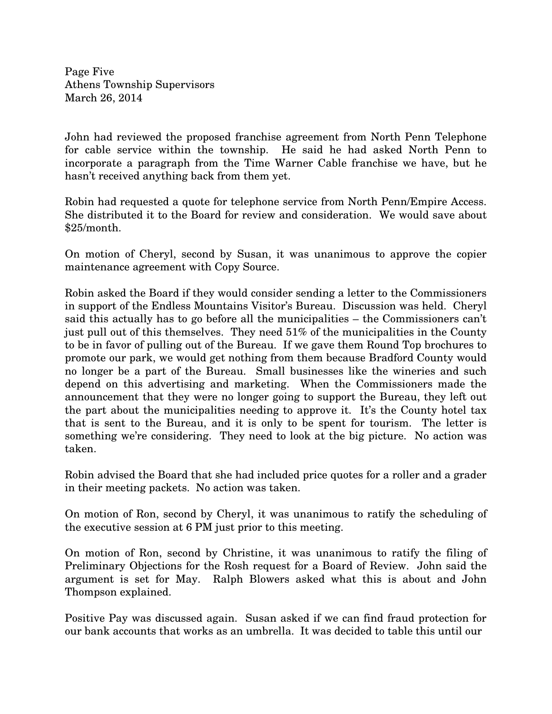Page Five Athens Township Supervisors March 26, 2014

John had reviewed the proposed franchise agreement from North Penn Telephone for cable service within the township. He said he had asked North Penn to incorporate a paragraph from the Time Warner Cable franchise we have, but he hasn't received anything back from them yet.

Robin had requested a quote for telephone service from North Penn/Empire Access. She distributed it to the Board for review and consideration. We would save about \$25/month.

On motion of Cheryl, second by Susan, it was unanimous to approve the copier maintenance agreement with Copy Source.

Robin asked the Board if they would consider sending a letter to the Commissioners in support of the Endless Mountains Visitor's Bureau. Discussion was held. Cheryl said this actually has to go before all the municipalities – the Commissioners can't just pull out of this themselves. They need 51% of the municipalities in the County to be in favor of pulling out of the Bureau. If we gave them Round Top brochures to promote our park, we would get nothing from them because Bradford County would no longer be a part of the Bureau. Small businesses like the wineries and such depend on this advertising and marketing. When the Commissioners made the announcement that they were no longer going to support the Bureau, they left out the part about the municipalities needing to approve it. It's the County hotel tax that is sent to the Bureau, and it is only to be spent for tourism. The letter is something we're considering. They need to look at the big picture. No action was taken.

Robin advised the Board that she had included price quotes for a roller and a grader in their meeting packets. No action was taken.

On motion of Ron, second by Cheryl, it was unanimous to ratify the scheduling of the executive session at 6 PM just prior to this meeting.

On motion of Ron, second by Christine, it was unanimous to ratify the filing of Preliminary Objections for the Rosh request for a Board of Review. John said the argument is set for May. Ralph Blowers asked what this is about and John Thompson explained.

Positive Pay was discussed again. Susan asked if we can find fraud protection for our bank accounts that works as an umbrella. It was decided to table this until our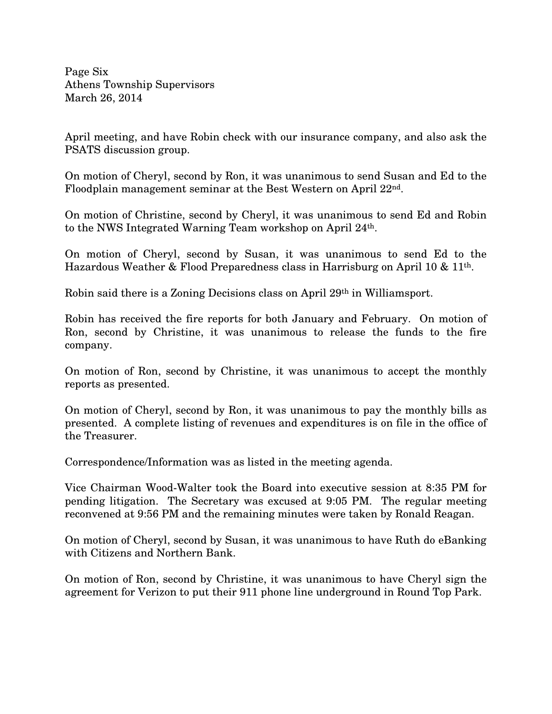Page Six Athens Township Supervisors March 26, 2014

April meeting, and have Robin check with our insurance company, and also ask the PSATS discussion group.

On motion of Cheryl, second by Ron, it was unanimous to send Susan and Ed to the Floodplain management seminar at the Best Western on April 22nd.

On motion of Christine, second by Cheryl, it was unanimous to send Ed and Robin to the NWS Integrated Warning Team workshop on April 24th.

On motion of Cheryl, second by Susan, it was unanimous to send Ed to the Hazardous Weather & Flood Preparedness class in Harrisburg on April 10 & 11th.

Robin said there is a Zoning Decisions class on April 29th in Williamsport.

Robin has received the fire reports for both January and February. On motion of Ron, second by Christine, it was unanimous to release the funds to the fire company.

On motion of Ron, second by Christine, it was unanimous to accept the monthly reports as presented.

On motion of Cheryl, second by Ron, it was unanimous to pay the monthly bills as presented. A complete listing of revenues and expenditures is on file in the office of the Treasurer.

Correspondence/Information was as listed in the meeting agenda.

Vice Chairman Wood-Walter took the Board into executive session at 8:35 PM for pending litigation. The Secretary was excused at 9:05 PM. The regular meeting reconvened at 9:56 PM and the remaining minutes were taken by Ronald Reagan.

On motion of Cheryl, second by Susan, it was unanimous to have Ruth do eBanking with Citizens and Northern Bank.

On motion of Ron, second by Christine, it was unanimous to have Cheryl sign the agreement for Verizon to put their 911 phone line underground in Round Top Park.